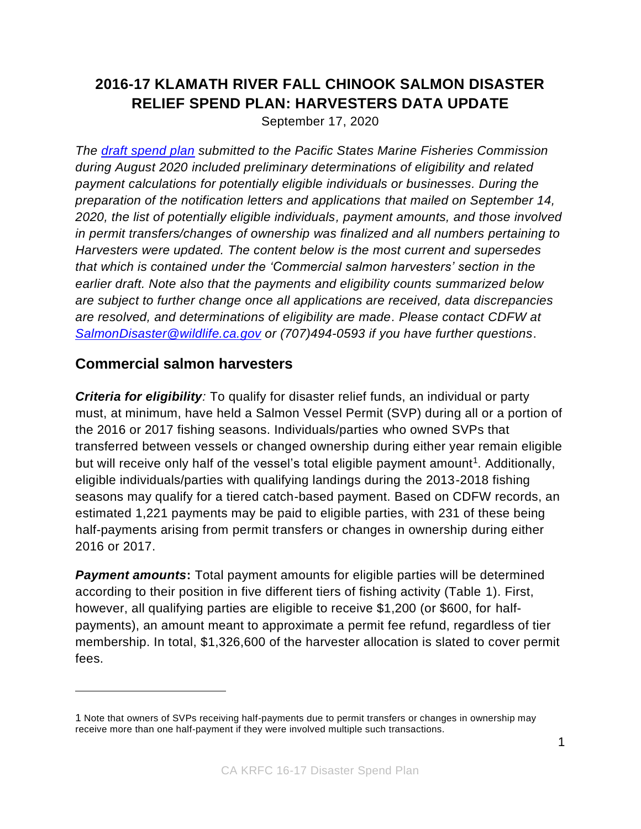## **2016-17 KLAMATH RIVER FALL CHINOOK SALMON DISASTER RELIEF SPEND PLAN: HARVESTERS DATA UPDATE**

September 17, 2020

*The [draft spend plan](https://nrm.dfg.ca.gov/FileHandler.ashx?DocumentID=182816&inline) submitted to the Pacific States Marine Fisheries Commission during August 2020 included preliminary determinations of eligibility and related payment calculations for potentially eligible individuals or businesses. During the preparation of the notification letters and applications that mailed on September 14, 2020, the list of potentially eligible individuals, payment amounts, and those involved in permit transfers/changes of ownership was finalized and all numbers pertaining to Harvesters were updated. The content below is the most current and supersedes that which is contained under the 'Commercial salmon harvesters' section in the earlier draft. Note also that the payments and eligibility counts summarized below are subject to further change once all applications are received, data discrepancies are resolved, and determinations of eligibility are made. Please contact CDFW at [SalmonDisaster@wildlife.ca.gov](mailto:SalmonDisaster@wildlife.ca.gov) or (707)494-0593 if you have further questions*.

## **Commercial salmon harvesters**

*Criteria for eligibility:* To qualify for disaster relief funds, an individual or party must, at minimum, have held a Salmon Vessel Permit (SVP) during all or a portion of the 2016 or 2017 fishing seasons. Individuals/parties who owned SVPs that transferred between vessels or changed ownership during either year remain eligible but will receive only half of the vessel's total eligible payment amount<sup>1</sup>. Additionally, eligible individuals/parties with qualifying landings during the 2013-2018 fishing seasons may qualify for a tiered catch-based payment. Based on CDFW records, an estimated 1,221 payments may be paid to eligible parties, with 231 of these being half-payments arising from permit transfers or changes in ownership during either 2016 or 2017.

**Payment amounts:** Total payment amounts for eligible parties will be determined according to their position in five different tiers of fishing activity (Table 1). First, however, all qualifying parties are eligible to receive \$1,200 (or \$600, for halfpayments), an amount meant to approximate a permit fee refund, regardless of tier membership. In total, \$1,326,600 of the harvester allocation is slated to cover permit fees.

<sup>1</sup> Note that owners of SVPs receiving half-payments due to permit transfers or changes in ownership may receive more than one half-payment if they were involved multiple such transactions.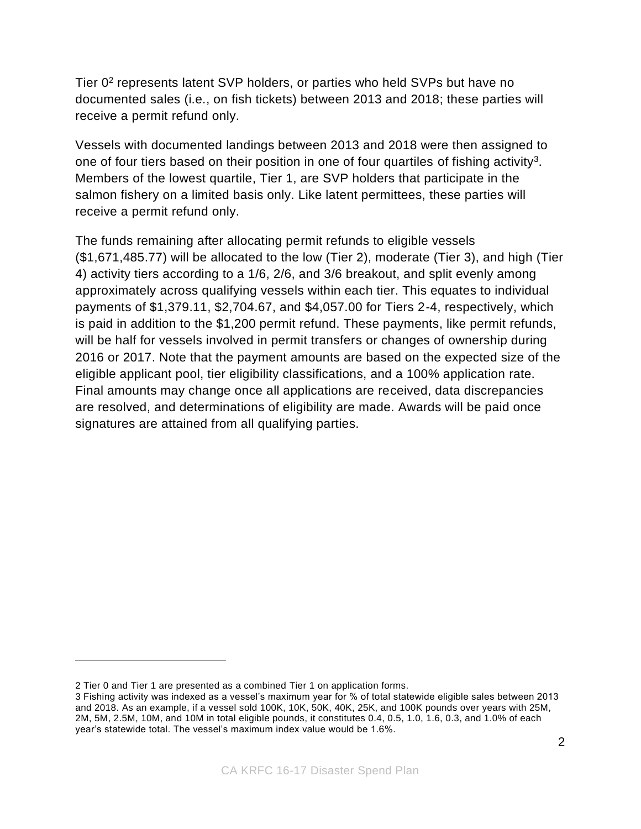Tier 0<sup>2</sup> represents latent SVP holders, or parties who held SVPs but have no documented sales (i.e., on fish tickets) between 2013 and 2018; these parties will receive a permit refund only.

Vessels with documented landings between 2013 and 2018 were then assigned to one of four tiers based on their position in one of four quartiles of fishing activity<sup>3</sup>. Members of the lowest quartile, Tier 1, are SVP holders that participate in the salmon fishery on a limited basis only. Like latent permittees, these parties will receive a permit refund only.

The funds remaining after allocating permit refunds to eligible vessels (\$1,671,485.77) will be allocated to the low (Tier 2), moderate (Tier 3), and high (Tier 4) activity tiers according to a 1/6, 2/6, and 3/6 breakout, and split evenly among approximately across qualifying vessels within each tier. This equates to individual payments of \$1,379.11, \$2,704.67, and \$4,057.00 for Tiers 2-4, respectively, which is paid in addition to the \$1,200 permit refund. These payments, like permit refunds, will be half for vessels involved in permit transfers or changes of ownership during 2016 or 2017. Note that the payment amounts are based on the expected size of the eligible applicant pool, tier eligibility classifications, and a 100% application rate. Final amounts may change once all applications are received, data discrepancies are resolved, and determinations of eligibility are made. Awards will be paid once signatures are attained from all qualifying parties.

<sup>2</sup> Tier 0 and Tier 1 are presented as a combined Tier 1 on application forms.

<sup>3</sup> Fishing activity was indexed as a vessel's maximum year for % of total statewide eligible sales between 2013 and 2018. As an example, if a vessel sold 100K, 10K, 50K, 40K, 25K, and 100K pounds over years with 25M, 2M, 5M, 2.5M, 10M, and 10M in total eligible pounds, it constitutes 0.4, 0.5, 1.0, 1.6, 0.3, and 1.0% of each year's statewide total. The vessel's maximum index value would be 1.6%.